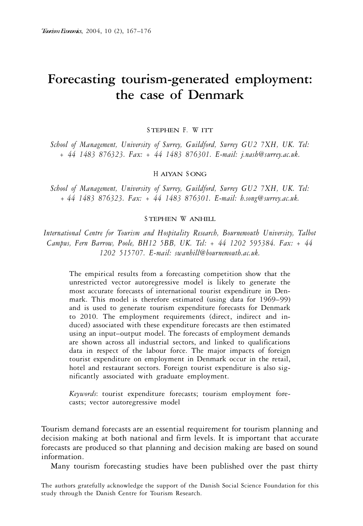# **Forecasting tourism-generated employment: the case of Denmark**

# STEPHEN F. W ITT

*School of Management, University of Surrey, Guildford, Surrey GU2 7XH, UK. Tel: + 44 1483 876323. Fax: + 44 1483 876301. E-mail: j.nash@surrey.ac.uk.*

#### H AIYAN S ONG

*School of Management, University of Surrey, Guildford, Surrey GU2 7XH, UK. Tel: + 44 1483 876323. Fax: + 44 1483 876301. E-mail: h.song@surrey.ac.uk.*

# S TEPHEN W ANHILL

*International Centre for Tourism and Hospitality Research, Bournemouth University, Talbot Campus, Fern Barrow, Poole, BH12 5BB, UK. Tel: + 44 1202 595384. Fax: + 44 1202 515707. E-mail: swanhill@bournemouth.ac.uk.*

The empirical results from a forecasting competition show that the unrestricted vector autoregressive model is likely to generate the most accurate forecasts of international tourist expenditure in Denmark. This model is therefore estimated (using data for 1969–99) and is used to generate tourism expenditure forecasts for Denmark to 2010. The employment requirements (direct, indirect and induced) associated with these expenditure forecasts are then estimated using an input–output model. The forecasts of employment demands are shown across all industrial sectors, and linked to qualifications data in respect of the labour force. The major impacts of foreign tourist expenditure on employment in Denmark occur in the retail, hotel and restaurant sectors. Foreign tourist expenditure is also significantly associated with graduate employment.

*Keywords*: tourist expenditure forecasts; tourism employment forecasts; vector autoregressive model

Tourism demand forecasts are an essential requirement for tourism planning and decision making at both national and firm levels. It is important that accurate forecasts are produced so that planning and decision making are based on sound information.

Many tourism forecasting studies have been published over the past thirty

The authors gratefully acknowledge the support of the Danish Social Science Foundation for this study through the Danish Centre for Tourism Research.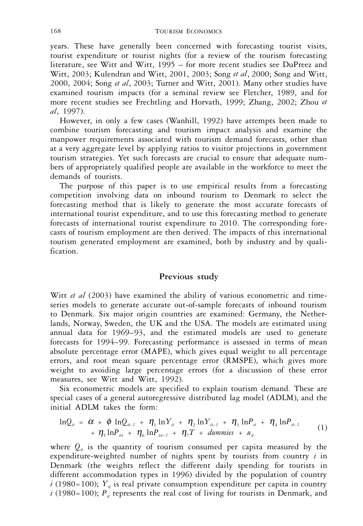years. These have generally been concerned with forecasting tourist visits, tourist expenditure or tourist nights (for a review of the tourism forecasting literature, see Witt and Witt, 1995 – for more recent studies see DuPreez and Witt, 2003; Kulendran and Witt, 2001, 2003; Song *et al*, 2000; Song and Witt, 2000, 2004; Song *et al*, 2003; Turner and Witt, 2001). Many other studies have examined tourism impacts (for a seminal review see Fletcher, 1989, and for more recent studies see Frechtling and Horvath, 1999; Zhang, 2002; Zhou *et al*, 1997).

However, in only a few cases (Wanhill, 1992) have attempts been made to combine tourism forecasting and tourism impact analysis and examine the manpower requirements associated with tourism demand forecasts, other than at a very aggregate level by applying ratios to visitor projections in government tourism strategies. Yet such forecasts are crucial to ensure that adequate numbers of appropriately qualified people are available in the workforce to meet the demands of tourists.

The purpose of this paper is to use empirical results from a forecasting competition involving data on inbound tourism to Denmark to select the forecasting method that is likely to generate the most accurate forecasts of international tourist expenditure, and to use this forecasting method to generate forecasts of international tourist expenditure to 2010. The corresponding forecasts of tourism employment are then derived. The impacts of this international tourism generated employment are examined, both by industry and by qualification.

#### **Previous study**

Witt *et al* (2003) have examined the ability of various econometric and timeseries models to generate accurate out-of-sample forecasts of inbound tourism to Denmark. Six major origin countries are examined: Germany, the Netherlands, Norway, Sweden, the UK and the USA. The models are estimated using annual data for 1969–93, and the estimated models are used to generate forecasts for 1994–99. Forecasting performance is assessed in terms of mean absolute percentage error (MAPE), which gives equal weight to all percentage errors, and root mean square percentage error (RMSPE), which gives more weight to avoiding large percentage errors (for a discussion of these error measures, see Witt and Witt, 1992).

Six econometric models are specified to explain tourism demand. These are special cases of a general autoregressive distributed lag model (ADLM), and the initial ADLM takes the form:

$$
\ln Q_{ii} = \alpha + \phi \ln Q_{ii-1} + \eta_1 \ln Y_{ii} + \eta_2 \ln Y_{ii-1} + \eta_3 \ln P_{ii} + \eta_4 \ln P_{ii-1} + \eta_5 \ln P_{ii} + \eta_6 \ln P_{ii-1} + \eta_7 T + \text{dummies} + u_{ii}
$$
 (1)

where  $Q_i$  is the quantity of tourism consumed per capita measured by the expenditure-weighted number of nights spent by tourists from country *i* in Denmark (the weights reflect the different daily spending for tourists in different accommodation types in 1996) divided by the population of country  $i$  (1980=100);  $Y_i$  is real private consumption expenditure per capita in country  $i$  (1980=100);  $P_i$  represents the real cost of living for tourists in Denmark, and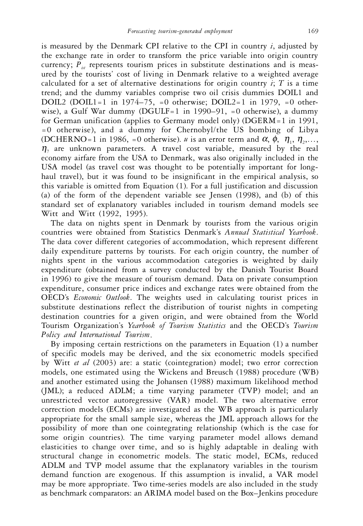is measured by the Denmark CPI relative to the CPI in country  $i$ , adjusted by the exchange rate in order to transform the price variable into origin country currency;  $P_{i,t}$  represents tourism prices in substitute destinations and is measured by the tourists' cost of living in Denmark relative to a weighted average calculated for a set of alternative destinations for origin country  $\dot{i}$ ;  $\dot{T}$  is a time trend; and the dummy variables comprise two oil crisis dummies DOIL1 and DOIL2 (DOIL1=1 in 1974–75, =0 otherwise; DOIL2=1 in 1979, =0 otherwise), a Gulf War dummy (DGULF=1 in 1990–91, =0 otherwise), a dummy for German unification (applies to Germany model only) (DGERM=1 in 1991, =0 otherwise), and a dummy for Chernobyl/the US bombing of Libya (DCHERNO=1 in 1986, =0 otherwise). *u* is an error term and  $\alpha$ ,  $\phi$ ,  $\eta_1$ ,  $\eta_2$ ,...,  $\eta$ <sub>7</sub> are unknown parameters. A travel cost variable, measured by the real economy airfare from the USA to Denmark, was also originally included in the USA model (as travel cost was thought to be potentially important for longhaul travel), but it was found to be insignificant in the empirical analysis, so this variable is omitted from Equation (1). For a full justification and discussion (a) of the form of the dependent variable see Jensen (1998), and (b) of this standard set of explanatory variables included in tourism demand models see Witt and Witt (1992, 1995).

The data on nights spent in Denmark by tourists from the various origin countries were obtained from Statistics Denmark's *Annual Statistical Yearbook*. The data cover different categories of accommodation, which represent different daily expenditure patterns by tourists. For each origin country, the number of nights spent in the various accommodation categories is weighted by daily expenditure (obtained from a survey conducted by the Danish Tourist Board in 1996) to give the measure of tourism demand. Data on private consumption expenditure, consumer price indices and exchange rates were obtained from the OECD's *Economic Outlook*. The weights used in calculating tourist prices in substitute destinations reflect the distribution of tourist nights in competing destination countries for a given origin, and were obtained from the World Tourism Organization's *Yearbook of Tourism Statistics* and the OECD's *Tourism Policy and International Tourism*.

By imposing certain restrictions on the parameters in Equation (1) a number of specific models may be derived, and the six econometric models specified by Witt *et al* (2003) are: a static (cointegration) model; two error correction models, one estimated using the Wickens and Breusch (1988) procedure (WB) and another estimated using the Johansen (1988) maximum likelihood method (JML); a reduced ADLM; a time varying parameter (TVP) model; and an unrestricted vector autoregressive (VAR) model. The two alternative error correction models (ECMs) are investigated as the WB approach is particularly appropriate for the small sample size, whereas the JML approach allows for the possibility of more than one cointegrating relationship (which is the case for some origin countries). The time varying parameter model allows demand elasticities to change over time, and so is highly adaptable in dealing with structural change in econometric models. The static model, ECMs, reduced ADLM and TVP model assume that the explanatory variables in the tourism demand function are exogenous. If this assumption is invalid, a VAR model may be more appropriate. Two time-series models are also included in the study as benchmark comparators: an ARIMA model based on the Box–Jenkins procedure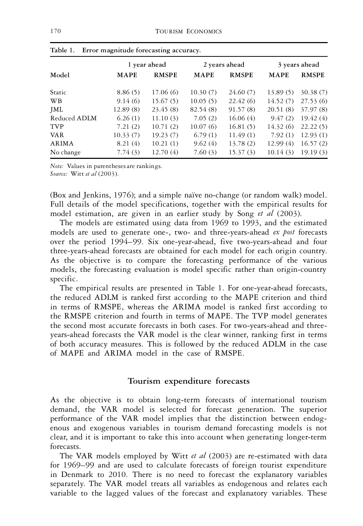|              | 1 year ahead |              |             | 2 years ahead | 3 years ahead |              |
|--------------|--------------|--------------|-------------|---------------|---------------|--------------|
| Model        | <b>MAPE</b>  | <b>RMSPE</b> | <b>MAPE</b> | <b>RMSPE</b>  | <b>MAPE</b>   | <b>RMSPE</b> |
| Static       | 8.86(5)      | 17.06(6)     | 10.30(7)    | 24.60(7)      | 13.89(5)      | 30.38 (7)    |
| <b>WB</b>    | 9.14(6)      | 15.67(5)     | 10.05(5)    | 22.42(6)      | 14.52(7)      | 27.53(6)     |
| JML          | 12.89(8)     | 23.45(8)     | 82.54 (8)   | 91.57(8)      | 20.51(8)      | 37.97(8)     |
| Reduced ADLM | 6.26(1)      | 11.10(3)     | 7.05(2)     | 16.06(4)      | 9.47(2)       | 19.42(4)     |
| <b>TVP</b>   | 7.21(2)      | 10.71(2)     | 10.07(6)    | 16.81(5)      | 14.32(6)      | 22.22(5)     |
| <b>VAR</b>   | 10.33(7)     | 19.23(7)     | 6.79(1)     | 11.49(1)      | 7.92(1)       | 12.93(1)     |
| ARIMA        | 8.21(4)      | 10.21(1)     | 9.62(4)     | 13.78(2)      | 12.99(4)      | 16.57(2)     |
| No change    | 7.74(3)      | 12.70(4)     | 7.60(3)     | 15.37(3)      | 10.14(3)      | 19.19(3)     |

| Table 1. | Error magnitude forecasting accuracy. |  |
|----------|---------------------------------------|--|

*Note:* Values in parentheses are rankings. *Source:* Witt *et al* (2003).

(Box and Jenkins, 1976); and a simple naïve no-change (or random walk) model. Full details of the model specifications, together with the empirical results for model estimation, are given in an earlier study by Song *et al* (2003).

The models are estimated using data from 1969 to 1993, and the estimated models are used to generate one-, two- and three-years-ahead *ex post* forecasts over the period 1994–99. Six one-year-ahead, five two-years-ahead and four three-years-ahead forecasts are obtained for each model for each origin country. As the objective is to compare the forecasting performance of the various models, the forecasting evaluation is model specific rather than origin-country specific.

The empirical results are presented in Table 1. For one-year-ahead forecasts, the reduced ADLM is ranked first according to the MAPE criterion and third in terms of RMSPE, whereas the ARIMA model is ranked first according to the RMSPE criterion and fourth in terms of MAPE. The TVP model generates the second most accurate forecasts in both cases. For two-years-ahead and threeyears-ahead forecasts the VAR model is the clear winner, ranking first in terms of both accuracy measures. This is followed by the reduced ADLM in the case of MAPE and ARIMA model in the case of RMSPE.

# **Tourism expenditure forecasts**

As the objective is to obtain long-term forecasts of international tourism demand, the VAR model is selected for forecast generation. The superior performance of the VAR model implies that the distinction between endogenous and exogenous variables in tourism demand forecasting models is not clear, and it is important to take this into account when generating longer-term forecasts.

The VAR models employed by Witt *et al* (2003) are re-estimated with data for 1969–99 and are used to calculate forecasts of foreign tourist expenditure in Denmark to 2010. There is no need to forecast the explanatory variables separately. The VAR model treats all variables as endogenous and relates each variable to the lagged values of the forecast and explanatory variables. These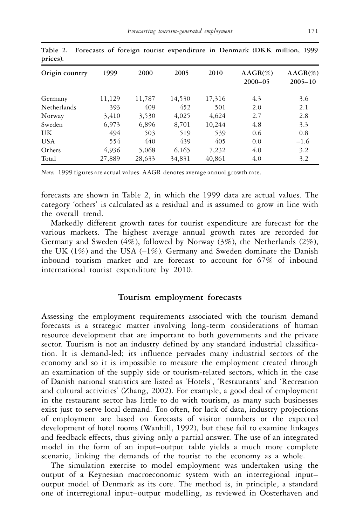| Origin country     | 1999   | 2000   | 2005   | 2010   | $AAGR(\% )$<br>$2000 - 05$ | $AAGR(\%)$<br>$2005 - 10$ |
|--------------------|--------|--------|--------|--------|----------------------------|---------------------------|
| Germany            | 11,129 | 11,787 | 14,530 | 17,316 | 4.3                        | 3.6                       |
| <b>Netherlands</b> | 393    | 409    | 452    | 501    | 2.0                        | 2.1                       |
| Norway             | 3.410  | 3,530  | 4,025  | 4,624  | 2.7                        | 2.8                       |
| Sweden             | 6,973  | 6,896  | 8,701  | 10,244 | 4.8                        | 3.3                       |
| UK.                | 494    | 503    | 519    | 539    | 0.6                        | 0.8                       |
| <b>USA</b>         | 554    | 440    | 439    | 405    | 0.0                        | $-1.6$                    |
| Others             | 4,936  | 5,068  | 6,165  | 7,232  | 4.0                        | 3.2                       |
| Total              | 27,889 | 28,633 | 34,831 | 40,861 | 4.0                        | 3.2                       |

|          |  | Table 2. Forecasts of foreign tourist expenditure in Denmark (DKK million, 1999) |  |  |  |
|----------|--|----------------------------------------------------------------------------------|--|--|--|
| prices). |  |                                                                                  |  |  |  |

*Note:* 1999 figures are actual values. AAGR denotes average annual growth rate.

forecasts are shown in Table 2, in which the 1999 data are actual values. The category 'others' is calculated as a residual and is assumed to grow in line with the overall trend.

Markedly different growth rates for tourist expenditure are forecast for the various markets. The highest average annual growth rates are recorded for Germany and Sweden (4%), followed by Norway (3%), the Netherlands (2%), the UK (1%) and the USA ( $-1\%$ ). Germany and Sweden dominate the Danish inbound tourism market and are forecast to account for 67% of inbound international tourist expenditure by 2010.

#### **Tourism employment forecasts**

Assessing the employment requirements associated with the tourism demand forecasts is a strategic matter involving long-term considerations of human resource development that are important to both governments and the private sector. Tourism is not an industry defined by any standard industrial classification. It is demand-led; its influence pervades many industrial sectors of the economy and so it is impossible to measure the employment created through an examination of the supply side or tourism-related sectors, which in the case of Danish national statistics are listed as 'Hotels', 'Restaurants' and 'Recreation and cultural activities' (Zhang, 2002). For example, a good deal of employment in the restaurant sector has little to do with tourism, as many such businesses exist just to serve local demand. Too often, for lack of data, industry projections of employment are based on forecasts of visitor numbers or the expected development of hotel rooms (Wanhill, 1992), but these fail to examine linkages and feedback effects, thus giving only a partial answer. The use of an integrated model in the form of an input–output table yields a much more complete scenario, linking the demands of the tourist to the economy as a whole.

The simulation exercise to model employment was undertaken using the output of a Keynesian macroeconomic system with an interregional input– output model of Denmark as its core. The method is, in principle, a standard one of interregional input–output modelling, as reviewed in Oosterhaven and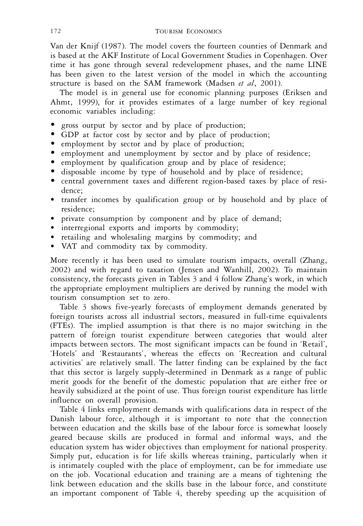Van der Knijf (1987). The model covers the fourteen counties of Denmark and is based at the AKF Institute of Local Government Studies in Copenhagen. Over time it has gone through several redevelopment phases, and the name LINE has been given to the latest version of the model in which the accounting structure is based on the SAM framework (Madsen *et al*, 2001).

The model is in general use for economic planning purposes (Eriksen and Ahmt, 1999), for it provides estimates of a large number of key regional economic variables including:

- 
- 
- 
- 
- 
- gross output by sector and by place of production;<br>
GDP at factor cost by sector and by place of production;<br>
employment by sector and by place of production;<br>
employment and unemployment by sector and by place of
- dence;
- transfer incomes by qualification group or by household and by place of residence;
- private consumption by component and by place of demand;
- interregional exports and imports by commodity;
- retailing and wholesaling margins by commodity; and
- VAT and commodity tax by commodity.

More recently it has been used to simulate tourism impacts, overall (Zhang, 2002) and with regard to taxation (Jensen and Wanhill, 2002). To maintain consistency, the forecasts given in Tables 3 and 4 follow Zhang's work, in which the appropriate employment multipliers are derived by running the model with tourism consumption set to zero.

Table 3 shows five-yearly forecasts of employment demands generated by foreign tourists across all industrial sectors, measured in full-time equivalents (FTEs). The implied assumption is that there is no major switching in the pattern of foreign tourist expenditure between categories that would alter impacts between sectors. The most significant impacts can be found in 'Retail', 'Hotels' and 'Restaurants', whereas the effects on 'Recreation and cultural activities' are relatively small. The latter finding can be explained by the fact that this sector is largely supply-determined in Denmark as a range of public merit goods for the benefit of the domestic population that are either free or heavily subsidized at the point of use. Thus foreign tourist expenditure has little influence on overall provision.

Table 4 links employment demands with qualifications data in respect of the Danish labour force, although it is important to note that the connection between education and the skills base of the labour force is somewhat loosely geared because skills are produced in formal and informal ways, and the education system has wider objectives than employment for national prosperity. Simply put, education is for life skills whereas training, particularly when it is intimately coupled with the place of employment, can be for immediate use on the job. Vocational education and training are a means of tightening the link between education and the skills base in the labour force, and constitute an important component of Table 4, thereby speeding up the acquisition of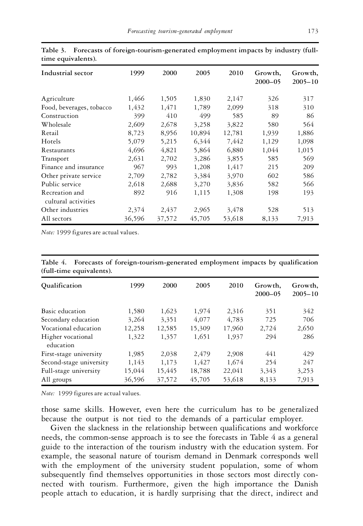| Industrial sector                     | 1999   | 2000   | 2005   | 2010   | Growth,<br>$2000 - 05$ | Growth,<br>$2005 - 10$ |
|---------------------------------------|--------|--------|--------|--------|------------------------|------------------------|
| Agriculture                           | 1,466  | 1,505  | 1,830  | 2,147  | 326                    | 317                    |
| Food, beverages, tobacco              | 1,432  | 1,471  | 1,789  | 2,099  | 318                    | 310                    |
| Construction                          | 399    | 410    | 499    | 585    | 89                     | 86                     |
| Wholesale                             | 2,609  | 2,678  | 3,258  | 3,822  | 580                    | 564                    |
| Retail                                | 8,723  | 8,956  | 10,894 | 12,781 | 1,939                  | 1,886                  |
| Hotels                                | 5,079  | 5,215  | 6,344  | 7,442  | 1,129                  | 1,098                  |
| Restaurants                           | 4,696  | 4,821  | 5,864  | 6,880  | 1,044                  | 1,015                  |
| Transport                             | 2,631  | 2,702  | 3,286  | 3,855  | 585                    | 569                    |
| Finance and insurance                 | 967    | 993    | 1,208  | 1,417  | 215                    | 209                    |
| Other private service                 | 2,709  | 2,782  | 3,384  | 3,970  | 602                    | 586                    |
| Public service                        | 2,618  | 2,688  | 3,270  | 3,836  | 582                    | 566                    |
| Recreation and<br>cultural activities | 892    | 916    | 1,115  | 1,308  | 198                    | 193                    |
| Other industries                      | 2,374  | 2,437  | 2,965  | 3,478  | 528                    | 513                    |
| All sectors                           | 36,596 | 37,572 | 45,705 | 53,618 | 8,133                  | 7,913                  |

**Table 3. Forecasts of foreign-tourism-generated employment impacts by industry (fulltime equivalents).**

*Note:* 1999 figures are actual values.

|                          | Table 4. Forecasts of foreign-tourism-generated employment impacts by qualification |  |  |
|--------------------------|-------------------------------------------------------------------------------------|--|--|
| (full-time equivalents). |                                                                                     |  |  |

| Qualification                  | 1999   | 2000   | 2005   | 2010   | Growth,<br>$2000 - 05$ | Growth,<br>$2005 - 10$ |
|--------------------------------|--------|--------|--------|--------|------------------------|------------------------|
| Basic education                | 1,580  | 1,623  | 1.974  | 2,316  | 351                    | 342                    |
| Secondary education            | 3,264  | 3,351  | 4,077  | 4,783  | 725                    | 706                    |
| Vocational education           | 12,258 | 12,585 | 15,309 | 17,960 | 2,724                  | 2,650                  |
| Higher vocational<br>education | 1,322  | 1,357  | 1,651  | 1,937  | 294                    | 286                    |
| First-stage university         | 1,985  | 2,038  | 2,479  | 2,908  | 441                    | 429                    |
| Second-stage university        | 1,143  | 1,173  | 1,427  | 1,674  | 254                    | 247                    |
| Full-stage university          | 15,044 | 15,445 | 18,788 | 22,041 | 3.343                  | 3,253                  |
| All groups                     | 36,596 | 37,572 | 45,705 | 53,618 | 8,133                  | 7,913                  |

*Note:* 1999 figures are actual values.

those same skills. However, even here the curriculum has to be generalized because the output is not tied to the demands of a particular employer.

Given the slackness in the relationship between qualifications and workforce needs, the common-sense approach is to see the forecasts in Table 4 as a general guide to the interaction of the tourism industry with the education system. For example, the seasonal nature of tourism demand in Denmark corresponds well with the employment of the university student population, some of whom subsequently find themselves opportunities in those sectors most directly connected with tourism. Furthermore, given the high importance the Danish people attach to education, it is hardly surprising that the direct, indirect and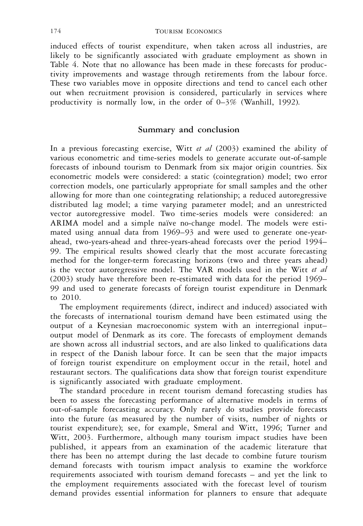induced effects of tourist expenditure, when taken across all industries, are likely to be significantly associated with graduate employment as shown in Table 4. Note that no allowance has been made in these forecasts for productivity improvements and wastage through retirements from the labour force. These two variables move in opposite directions and tend to cancel each other out when recruitment provision is considered, particularly in services where productivity is normally low, in the order of 0–3% (Wanhill, 1992).

# **Summary and conclusion**

In a previous forecasting exercise, Witt *et al* (2003) examined the ability of various econometric and time-series models to generate accurate out-of-sample forecasts of inbound tourism to Denmark from six major origin countries. Six econometric models were considered: a static (cointegration) model; two error correction models, one particularly appropriate for small samples and the other allowing for more than one cointegrating relationship; a reduced autoregressive distributed lag model; a time varying parameter model; and an unrestricted vector autoregressive model. Two time-series models were considered: an ARIMA model and a simple naïve no-change model. The models were estimated using annual data from 1969–93 and were used to generate one-yearahead, two-years-ahead and three-years-ahead forecasts over the period 1994– 99. The empirical results showed clearly that the most accurate forecasting method for the longer-term forecasting horizons (two and three years ahead) is the vector autoregressive model. The VAR models used in the Witt *et al* (2003) study have therefore been re-estimated with data for the period 1969– 99 and used to generate forecasts of foreign tourist expenditure in Denmark to 2010.

The employment requirements (direct, indirect and induced) associated with the forecasts of international tourism demand have been estimated using the output of a Keynesian macroeconomic system with an interregional input– output model of Denmark as its core. The forecasts of employment demands are shown across all industrial sectors, and are also linked to qualifications data in respect of the Danish labour force. It can be seen that the major impacts of foreign tourist expenditure on employment occur in the retail, hotel and restaurant sectors. The qualifications data show that foreign tourist expenditure is significantly associated with graduate employment.

The standard procedure in recent tourism demand forecasting studies has been to assess the forecasting performance of alternative models in terms of out-of-sample forecasting accuracy. Only rarely do studies provide forecasts into the future (as measured by the number of visits, number of nights or tourist expenditure); see, for example, Smeral and Witt, 1996; Turner and Witt, 2003. Furthermore, although many tourism impact studies have been published, it appears from an examination of the academic literature that there has been no attempt during the last decade to combine future tourism demand forecasts with tourism impact analysis to examine the workforce requirements associated with tourism demand forecasts – and yet the link to the employment requirements associated with the forecast level of tourism demand provides essential information for planners to ensure that adequate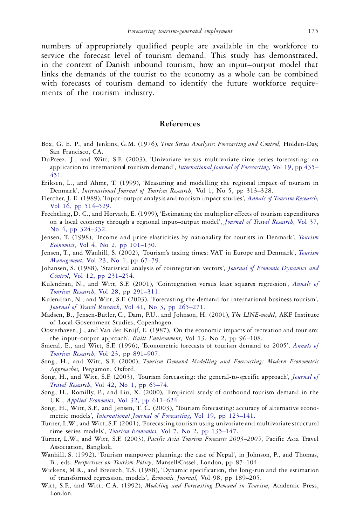numbers of appropriately qualified people are available in the workforce to service the forecast level of tourism demand. This study has demonstrated, in the context of Danish inbound tourism, how an input–output model that links the demands of the tourist to the economy as a whole can be combined with forecasts of tourism demand to identify the future workforce requirements of the tourism industry.

#### **References**

- Box, G. E. P., and Jenkins, G.M. (1976), *Time Series Analysis: Forecasting and Control,* Holden-Day, San Francisco, CA.
- DuPreez, J., and Witt, S.F. (2003), 'Univariate versus multivariate time series forecasting: an application to international tourism demand', *International [Journal of Forecasting](http://www.ingentaconnect.com/content/external-references?article=/0169-2070^28^2919L.435[aid=5907067])*, Vol 19, pp 435– [451.](http://www.ingentaconnect.com/content/external-references?article=/0169-2070^28^2919L.435[aid=5907067])
- Eriksen, L., and Ahmt, T. (1999), 'Measuring and modelling the regional impact of tourism in Denmark', *International Journal of Tourism Research,* Vol 1, No 5, pp 313–328.
- Fletcher, J. E. (1989), 'Input–output analysis and tourism impact studies', *[Annals of Tourism Research](http://www.ingentaconnect.com/content/external-references?article=/0160-7383^28^2916L.514[aid=43294])*, [Vol 16, pp 514–529.](http://www.ingentaconnect.com/content/external-references?article=/0160-7383^28^2916L.514[aid=43294])
- Frechtling, D. C., and Horvath, E. (1999), 'Estimating the multiplier effects of tourism expenditures on a local economy through a regional input–output model', *[Journal of Travel Research](http://www.ingentaconnect.com/content/external-references?article=/0047-2875^28^2937:4L.324[aid=6769129])*, Vol 37, [No 4, pp 324–332.](http://www.ingentaconnect.com/content/external-references?article=/0047-2875^28^2937:4L.324[aid=6769129])
- Jensen, T. (1998), 'Income and price elasticities by nationality for tourists in Denmark', *[Tourism](http://www.ingentaconnect.com/content/external-references?article=/1354-8166^28^294:2L.101[aid=982476]) Economics*[, Vol 4, No 2, pp 101–130.](http://www.ingentaconnect.com/content/external-references?article=/1354-8166^28^294:2L.101[aid=982476])
- Jensen, T., and Wanhill, S. (2002), 'Tourism's taxing times: VAT in Europe and Denmark', *[Tourism](http://www.ingentaconnect.com/content/external-references?article=/0261-5177^28^2923:1L.67[aid=5907070]) Management*[, Vol 23, No 1, pp 67–79.](http://www.ingentaconnect.com/content/external-references?article=/0261-5177^28^2923:1L.67[aid=5907070])
- Johansen, S. (1988), 'Statistical analysis of cointegration vectors', *[Journal of Economic Dynamics and](http://www.ingentaconnect.com/content/external-references?article=/0165-1889^28^2912L.231[aid=94672]) Control*[, Vol 12, pp 231–254.](http://www.ingentaconnect.com/content/external-references?article=/0165-1889^28^2912L.231[aid=94672])
- Kulendran, N., and Witt, S.F. (2001), 'Cointegration versus least squares regression', *[Annals of](http://www.ingentaconnect.com/content/external-references?article=/0160-7383^28^2928L.291[aid=5459429]) Tourism Research*[, Vol 28, pp 291–311.](http://www.ingentaconnect.com/content/external-references?article=/0160-7383^28^2928L.291[aid=5459429])
- Kulendran, N., and Witt, S.F. (2003), 'Forecasting the demand for international business tourism', *Journal of Travel Research*[, Vol 41, No 3, pp 265–271.](http://www.ingentaconnect.com/content/external-references?article=/0047-2875^28^2941:3L.265[aid=4907644])
- Madsen, B., Jensen-Butler, C., Dam, P.U., and Johnson, H. (2001), *The LINE-model*, AKF Institute of Local Government Studies, Copenhagen.
- Oosterhaven, J., and Van der Knijf, E. (1987), *'*On the economic impacts of recreation and tourism: the input–output approach', *Built Environment*, Vol 13, No 2, pp 96–108.
- Smeral, E., and Witt, S.F. (1996), 'Econometric forecasts of tourism demand to 2005', *[Annals of](http://www.ingentaconnect.com/content/external-references?article=/0160-7383^28^2923L.891[aid=328602]) Tourism Research*[, Vol 23, pp 891–907.](http://www.ingentaconnect.com/content/external-references?article=/0160-7383^28^2923L.891[aid=328602])
- Song, H., and Witt, S.F. (2000), *Tourism Demand Modelling and Forecasting: Modern Econometric Approaches*, Pergamon, Oxford.
- Song, H., and Witt, S.F. (2003), 'Tourism forecasting: the general-to-specific approach', *[Journal of](http://www.ingentaconnect.com/content/external-references?article=/0047-2875^28^2942:1L.65[aid=5907073]) Travel Research*[, Vol 42, No 1, pp 65–74.](http://www.ingentaconnect.com/content/external-references?article=/0047-2875^28^2942:1L.65[aid=5907073])
- Song, H., Romilly, P., and Liu, X. (2000), 'Empirical study of outbound tourism demand in the UK', *Applied Economics*[, Vol 32, pp 611–624.](http://www.ingentaconnect.com/content/external-references?article=/0003-6846^28^2932L.611[aid=1899501])
- Song, H., Witt, S.F., and Jensen, T. C. (2003), 'Tourism forecasting: accuracy of alternative econo metric models', *International Journal of Forecasting*[, Vol 19, pp 123–141.](http://www.ingentaconnect.com/content/external-references?article=/0169-2070^28^2919L.123[aid=5907074])
- Turner, L.W., and Witt, S.F. (2001), 'Forecasting tourism using univariate and multivariate structural time series models', *Tourism Economics*[, Vol 7, No 2, pp 135–147.](http://www.ingentaconnect.com/content/external-references?article=/1354-8166^28^297:2L.135[aid=5907075])
- Turner, L.W., and Witt, S.F. (2003), *Pacific Asia Tourism Forecasts 2003–2005*, Pacific Asia Travel Association, Bangkok.
- Wanhill, S. (1992), 'Tourism manpower planning: the case of Nepal', in Johnson, P., and Thomas, B., eds, *Perspectives on Tourism Policy*, Mansell/Cassel, London, pp 87–104.
- Wickens, M.R., and Breusch, T.S. (1988), 'Dynamic specification, the long-run and the estimation of transformed regression, models', *Economic Journal*, Vol 98, pp 189–205.
- Witt, S.F., and Witt, C.A. (1992), *Modeling and Forecasting Demand in Tourism*, Academic Press, London.